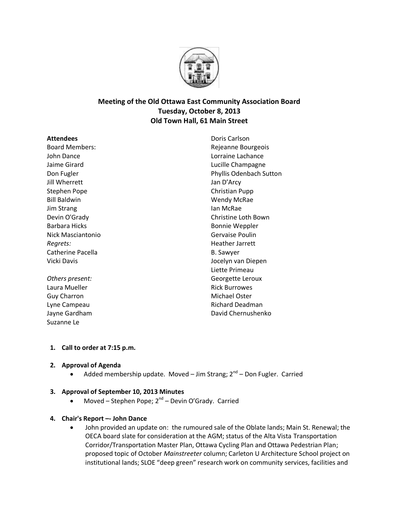

# **Meeting of the Old Ottawa East Community Association Board Tuesday, October 8, 2013 Old Town Hall, 61 Main Street**

#### **Attendees**

Board Members: John Dance Jaime Girard Don Fugler Jill Wherrett Stephen Pope Bill Baldwin Jim Strang Devin O'Grady Barbara Hicks Nick Masciantonio *Regrets:* Catherine Pacella Vicki Davis

*Others present:* Laura Mueller Guy Charron Lyne Campeau Jayne Gardham Suzanne Le

Doris Carlson Rejeanne Bourgeois Lorraine Lachance Lucille Champagne Phyllis Odenbach Sutton Jan D'Arcy Christian Pupp Wendy McRae Ian McRae Christine Loth Bown Bonnie Weppler Gervaise Poulin Heather Jarrett B. Sawyer Jocelyn van Diepen Liette Primeau Georgette Leroux Rick Burrowes Michael Oster Richard Deadman David Chernushenko

# **1. Call to order at 7:15 p.m.**

# **2. Approval of Agenda**

• Added membership update. Moved – Jim Strang; 2<sup>nd</sup> – Don Fugler. Carried

# **3. Approval of September 10, 2013 Minutes**

 $\bullet$  Moved – Stephen Pope; 2<sup>nd</sup> – Devin O'Grady. Carried

# **4. Chair's Report –- John Dance**

 John provided an update on: the rumoured sale of the Oblate lands; Main St. Renewal; the OECA board slate for consideration at the AGM; status of the Alta Vista Transportation Corridor/Transportation Master Plan, Ottawa Cycling Plan and Ottawa Pedestrian Plan; proposed topic of October *Mainstreeter* column; Carleton U Architecture School project on institutional lands; SLOE "deep green" research work on community services, facilities and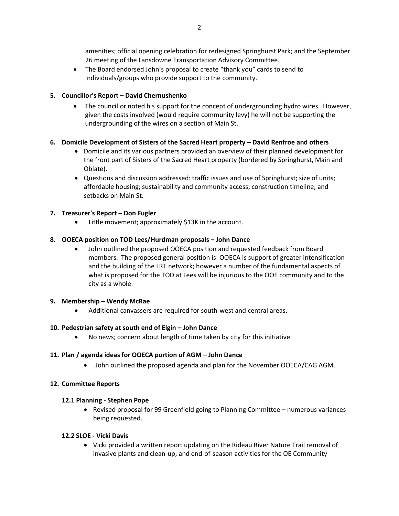amenities; official opening celebration for redesigned Springhurst Park; and the September 26 meeting of the Lansdowne Transportation Advisory Committee.

 The Board endorsed John's proposal to create "thank you" cards to send to individuals/groups who provide support to the community.

## **5. Councillor's Report – David Chernushenko**

• The councillor noted his support for the concept of undergrounding hydro wires. However, given the costs involved (would require community levy) he will not be supporting the undergrounding of the wires on a section of Main St.

### **6. Domicile Development of Sisters of the Sacred Heart property – David Renfroe and others**

- Domicile and its various partners provided an overview of their planned development for the front part of Sisters of the Sacred Heart property (bordered by Springhurst, Main and Oblate).
- Questions and discussion addressed: traffic issues and use of Springhurst; size of units; affordable housing; sustainability and community access; construction timeline; and setbacks on Main St.

### **7. Treasurer's Report – Don Fugler**

Little movement; approximately \$13K in the account.

### **8. OOECA position on TOD Lees/Hurdman proposals – John Dance**

 John outlined the proposed OOECA position and requested feedback from Board members. The proposed general position is: OOECA is support of greater intensification and the building of the LRT network; however a number of the fundamental aspects of what is proposed for the TOD at Lees will be injurious to the OOE community and to the city as a whole.

#### **9. Membership – Wendy McRae**

Additional canvassers are required for south-west and central areas.

#### **10. Pedestrian safety at south end of Elgin – John Dance**

No news; concern about length of time taken by city for this initiative

#### **11. Plan / agenda ideas for OOECA portion of AGM – John Dance**

John outlined the proposed agenda and plan for the November OOECA/CAG AGM.

#### **12. Committee Reports**

#### **12.1 Planning - Stephen Pope**

 Revised proposal for 99 Greenfield going to Planning Committee – numerous variances being requested.

#### **12.2 SLOE - Vicki Davis**

• Vicki provided a written report updating on the Rideau River Nature Trail removal of invasive plants and clean-up; and end-of-season activities for the OE Community